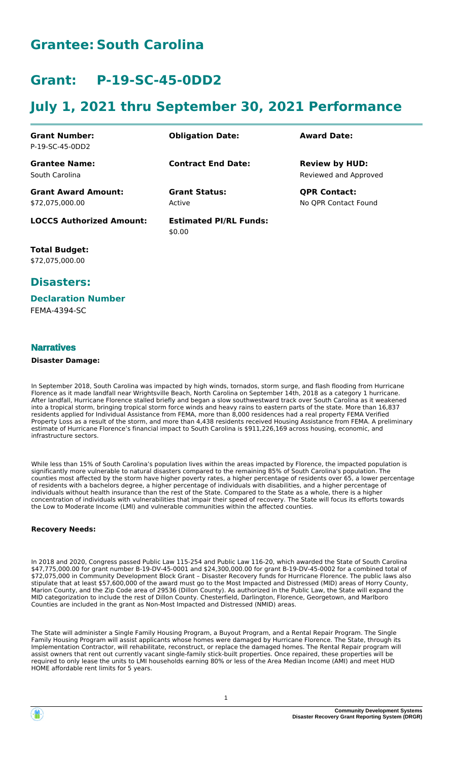# **Grantee: South Carolina**

# **Grant: P-19-SC-45-0DD2**

# **July 1, 2021 thru September 30, 2021 Performance**

| <b>Grant Number:</b><br>P-19-SC-45-0DD2       | <b>Obligation Date:</b>                 | <b>Award Date:</b>                             |
|-----------------------------------------------|-----------------------------------------|------------------------------------------------|
| <b>Grantee Name:</b><br>South Carolina        | <b>Contract End Date:</b>               | <b>Review by HUD:</b><br>Reviewed and Approved |
| <b>Grant Award Amount:</b><br>\$72,075,000.00 | <b>Grant Status:</b><br>Active          | <b>QPR Contact:</b><br>No OPR Contact Found    |
| <b>LOCCS Authorized Amount:</b>               | <b>Estimated PI/RL Funds:</b><br>\$0.00 |                                                |

**Total Budget:** \$72,075,000.00

# **Disasters:**

#### **Declaration Number**

FEMA-4394-SC

## **Narratives**

#### **Disaster Damage:**

In September 2018, South Carolina was impacted by high winds, tornados, storm surge, and flash flooding from Hurricane Florence as it made landfall near Wrightsville Beach, North Carolina on September 14th, 2018 as a category 1 hurricane. After landfall, Hurricane Florence stalled briefly and began a slow southwestward track over South Carolina as it weakened into a tropical storm, bringing tropical storm force winds and heavy rains to eastern parts of the state. More than 16,837 residents applied for Individual Assistance from FEMA, more than 8,000 residences had a real property FEMA Verified Property Loss as a result of the storm, and more than 4,438 residents received Housing Assistance from FEMA. A preliminary estimate of Hurricane Florence's financial impact to South Carolina is \$911,226,169 across housing, economic, and infrastructure sectors.

While less than 15% of South Carolina's population lives within the areas impacted by Florence, the impacted population is significantly more vulnerable to natural disasters compared to the remaining 85% of South Carolina's population. The counties most affected by the storm have higher poverty rates, a higher percentage of residents over 65, a lower percentage of residents with a bachelors degree, a higher percentage of individuals with disabilities, and a higher percentage of individuals without health insurance than the rest of the State. Compared to the State as a whole, there is a higher concentration of individuals with vulnerabilities that impair their speed of recovery. The State will focus its efforts towards the Low to Moderate Income (LMI) and vulnerable communities within the affected counties.

#### **Recovery Needs:**

In 2018 and 2020, Congress passed Public Law 115-254 and Public Law 116-20, which awarded the State of South Carolina \$47,775,000.00 for grant number B-19-DV-45-0001 and \$24,300,000.00 for grant B-19-DV-45-0002 for a combined total of \$72,075,000 in Community Development Block Grant – Disaster Recovery funds for Hurricane Florence. The public laws also stipulate that at least \$57,600,000 of the award must go to the Most Impacted and Distressed (MID) areas of Horry County, Marion County, and the Zip Code area of 29536 (Dillon County). As authorized in the Public Law, the State will expand the MID categorization to include the rest of Dillon County. Chesterfield, Darlington, Florence, Georgetown, and Marlboro Counties are included in the grant as Non-Most Impacted and Distressed (NMID) areas.

The State will administer a Single Family Housing Program, a Buyout Program, and a Rental Repair Program. The Single Family Housing Program will assist applicants whose homes were damaged by Hurricane Florence. The State, through its Implementation Contractor, will rehabilitate, reconstruct, or replace the damaged homes. The Rental Repair program will assist owners that rent out currently vacant single-family stick-built properties. Once repaired, these properties will be required to only lease the units to LMI households earning 80% or less of the Area Median Income (AMI) and meet HUD HOME affordable rent limits for 5 years.

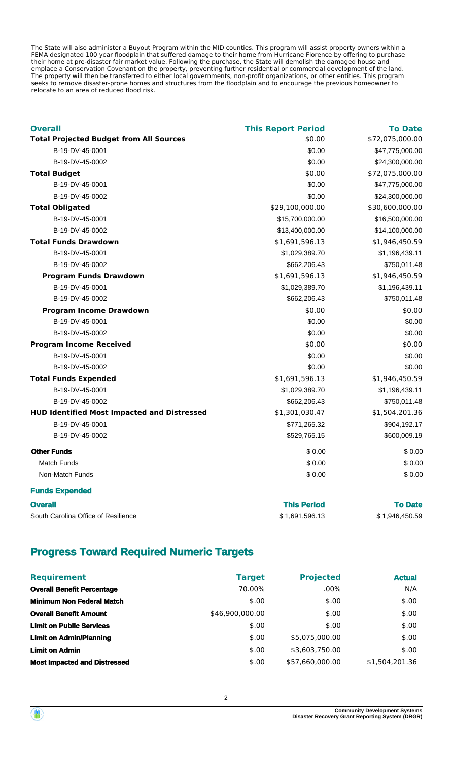The State will also administer a Buyout Program within the MID counties. This program will assist property owners within a FEMA designated 100 year floodplain that suffered damage to their home from Hurricane Florence by offering to purchase their home at pre-disaster fair market value. Following the purchase, the State will demolish the damaged house and emplace a Conservation Covenant on the property, preventing further residential or commercial development of the land. The property will then be transferred to either local governments, non-profit organizations, or other entities. This program seeks to remove disaster-prone homes and structures from the floodplain and to encourage the previous homeowner to relocate to an area of reduced flood risk.

| <b>Overall</b>                                     | <b>This Report Period</b> | <b>To Date</b>  |
|----------------------------------------------------|---------------------------|-----------------|
| <b>Total Projected Budget from All Sources</b>     | \$0.00                    | \$72,075,000.00 |
| B-19-DV-45-0001                                    | \$0.00                    | \$47,775,000.00 |
| B-19-DV-45-0002                                    | \$0.00                    | \$24,300,000.00 |
| <b>Total Budget</b>                                | \$0.00                    | \$72,075,000.00 |
| B-19-DV-45-0001                                    | \$0.00                    | \$47,775,000.00 |
| B-19-DV-45-0002                                    | \$0.00                    | \$24,300,000.00 |
| <b>Total Obligated</b>                             | \$29,100,000.00           | \$30,600,000.00 |
| B-19-DV-45-0001                                    | \$15,700,000.00           | \$16,500,000.00 |
| B-19-DV-45-0002                                    | \$13,400,000.00           | \$14,100,000.00 |
| <b>Total Funds Drawdown</b>                        | \$1,691,596.13            | \$1,946,450.59  |
| B-19-DV-45-0001                                    | \$1,029,389.70            | \$1,196,439.11  |
| B-19-DV-45-0002                                    | \$662,206.43              | \$750,011.48    |
| <b>Program Funds Drawdown</b>                      | \$1,691,596.13            | \$1,946,450.59  |
| B-19-DV-45-0001                                    | \$1,029,389.70            | \$1,196,439.11  |
| B-19-DV-45-0002                                    | \$662,206.43              | \$750,011.48    |
| <b>Program Income Drawdown</b>                     | \$0.00                    | \$0.00          |
| B-19-DV-45-0001                                    | \$0.00                    | \$0.00          |
| B-19-DV-45-0002                                    | \$0.00                    | \$0.00          |
| <b>Program Income Received</b>                     | \$0.00                    | \$0.00          |
| B-19-DV-45-0001                                    | \$0.00                    | \$0.00          |
| B-19-DV-45-0002                                    | \$0.00                    | \$0.00          |
| <b>Total Funds Expended</b>                        | \$1,691,596.13            | \$1,946,450.59  |
| B-19-DV-45-0001                                    | \$1,029,389.70            | \$1,196,439.11  |
| B-19-DV-45-0002                                    | \$662,206.43              | \$750,011.48    |
| <b>HUD Identified Most Impacted and Distressed</b> | \$1,301,030.47            | \$1,504,201.36  |
| B-19-DV-45-0001                                    | \$771,265.32              | \$904,192.17    |
| B-19-DV-45-0002                                    | \$529,765.15              | \$600,009.19    |
| <b>Other Funds</b>                                 | \$0.00                    | \$0.00          |
| <b>Match Funds</b>                                 | \$0.00                    | \$0.00          |
| Non-Match Funds                                    | \$0.00                    | \$0.00          |
| <b>Funds Expended</b>                              |                           |                 |

| <b>Overall</b>                      | <b>This Period</b> | <b>To Date</b>  |
|-------------------------------------|--------------------|-----------------|
| South Carolina Office of Resilience | \$1.691.596.13     | \$ 1,946,450.59 |

# **Progress Toward Required Numeric Targets**

| <b>Requirement</b>                  | <b>Target</b>   | <b>Projected</b> | <b>Actual</b>  |
|-------------------------------------|-----------------|------------------|----------------|
| <b>Overall Benefit Percentage</b>   | 70.00%          | $.00\%$          | N/A            |
| <b>Minimum Non Federal Match</b>    | \$.00           | \$.00            | \$.00          |
| <b>Overall Benefit Amount</b>       | \$46,900,000.00 | \$.00            | \$.00          |
| <b>Limit on Public Services</b>     | \$.00           | \$.00            | \$.00          |
| <b>Limit on Admin/Planning</b>      | \$.00           | \$5.075.000.00   | \$.00          |
| <b>Limit on Admin</b>               | \$.00           | \$3,603,750.00   | \$.00          |
| <b>Most Impacted and Distressed</b> | \$.00           | \$57.660.000.00  | \$1,504,201.36 |



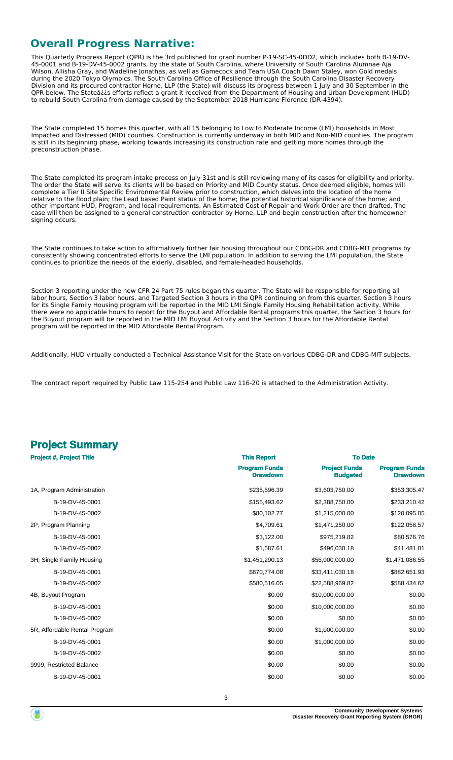# **Overall Progress Narrative:**

This Quarterly Progress Report (QPR) is the 3rd published for grant number P-19-SC-45-0DD2, which includes both B-19-DV-45-0001 and B-19-DV-45-0002 grants, by the state of South Carolina, where University of South Carolina Alumnae Aja Wilson, Allisha Gray, and Wadeline Jonathas, as well as Gamecock and Team USA Coach Dawn Staley, won Gold medals during the 2020 Tokyo Olympics. The South Carolina Office of Resilience through the South Carolina Disaster Recovery Division and its procured contractor Horne, LLP (the State) will discuss its progress between 1 July and 30 September in the QPR below. The Stateâ¿¿s efforts reflect a grant it received from the Department of Housing and Urban Development (HUD) to rebuild South Carolina from damage caused by the September 2018 Hurricane Florence (DR-4394).

The State completed 15 homes this quarter, with all 15 belonging to Low to Moderate Income (LMI) households in Most Impacted and Distressed (MID) counties. Construction is currently underway in both MID and Non-MID counties. The program is still in its beginning phase, working towards increasing its construction rate and getting more homes through the preconstruction phase.

The State completed its program intake process on July 31st and is still reviewing many of its cases for eligibility and priority. The order the State will serve its clients will be based on Priority and MID County status. Once deemed eligible, homes will complete a Tier II Site Specific Environmental Review prior to construction, which delves into the location of the home relative to the flood plain; the Lead based Paint status of the home; the potential historical significance of the home; and other important HUD, Program, and local requirements. An Estimated Cost of Repair and Work Order are then drafted. The case will then be assigned to a general construction contractor by Horne, LLP and begin construction after the homeowner signing occurs.

The State continues to take action to affirmatively further fair housing throughout our CDBG-DR and CDBG-MIT programs by consistently showing concentrated efforts to serve the LMI population. In addition to serving the LMI population, the State continues to prioritize the needs of the elderly, disabled, and female-headed households.

Section 3 reporting under the new CFR 24 Part 75 rules began this quarter. The State will be responsible for reporting all labor hours, Section 3 labor hours, and Targeted Section 3 hours in the QPR continuing on from this quarter. Section 3 hours for its Single Family Housing program will be reported in the MID LMI Single Family Housing Rehabilitation activity. While there were no applicable hours to report for the Buyout and Affordable Rental programs this quarter, the Section 3 hours for the Buyout program will be reported in the MID LMI Buyout Activity and the Section 3 hours for the Affordable Rental program will be reported in the MID Affordable Rental Program.

Additionally, HUD virtually conducted a Technical Assistance Visit for the State on various CDBG-DR and CDBG-MIT subjects.

The contract report required by Public Law 115-254 and Public Law 116-20 is attached to the Administration Activity.

| <b>Project Summary</b>          |                    |                |
|---------------------------------|--------------------|----------------|
| <b>Project #, Project Title</b> | <b>This Report</b> | <b>To Date</b> |

|                               | <b>Program Funds</b><br><b>Drawdown</b> | <b>Project Funds</b><br><b>Budgeted</b> | <b>Program Funds</b><br><b>Drawdown</b> |
|-------------------------------|-----------------------------------------|-----------------------------------------|-----------------------------------------|
| 1A, Program Administration    | \$235,596.39                            | \$3,603,750.00                          | \$353,305.47                            |
| B-19-DV-45-0001               | \$155,493.62                            | \$2,388,750.00                          | \$233,210.42                            |
| B-19-DV-45-0002               | \$80,102.77                             | \$1,215,000.00                          | \$120,095.05                            |
| 2P, Program Planning          | \$4,709.61                              | \$1,471,250.00                          | \$122,058.57                            |
| B-19-DV-45-0001               | \$3,122.00                              | \$975,219.82                            | \$80,576.76                             |
| B-19-DV-45-0002               | \$1,587.61                              | \$496,030.18                            | \$41,481.81                             |
| 3H, Single Family Housing     | \$1,451,290.13                          | \$56,000,000.00                         | \$1,471,086.55                          |
| B-19-DV-45-0001               | \$870,774.08                            | \$33,411,030.18                         | \$882,651.93                            |
| B-19-DV-45-0002               | \$580,516.05                            | \$22,588,969.82                         | \$588,434.62                            |
| 4B, Buyout Program            | \$0.00                                  | \$10,000,000.00                         | \$0.00                                  |
| B-19-DV-45-0001               | \$0.00                                  | \$10,000,000.00                         | \$0.00                                  |
| B-19-DV-45-0002               | \$0.00                                  | \$0.00                                  | \$0.00                                  |
| 5R, Affordable Rental Program | \$0.00                                  | \$1,000,000.00                          | \$0.00                                  |
| B-19-DV-45-0001               | \$0.00                                  | \$1,000,000.00                          | \$0.00                                  |
| B-19-DV-45-0002               | \$0.00                                  | \$0.00                                  | \$0.00                                  |
| 9999, Restricted Balance      | \$0.00                                  | \$0.00                                  | \$0.00                                  |
| B-19-DV-45-0001               | \$0.00                                  | \$0.00                                  | \$0.00                                  |

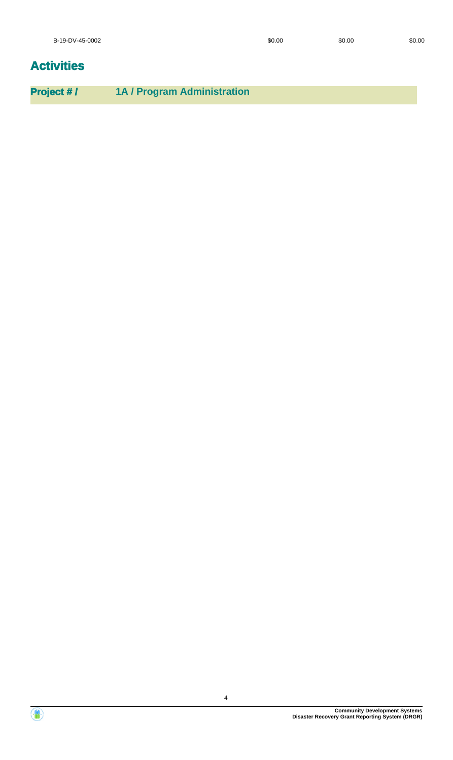# **Activities**

**Project # / 1A / Program Administration**

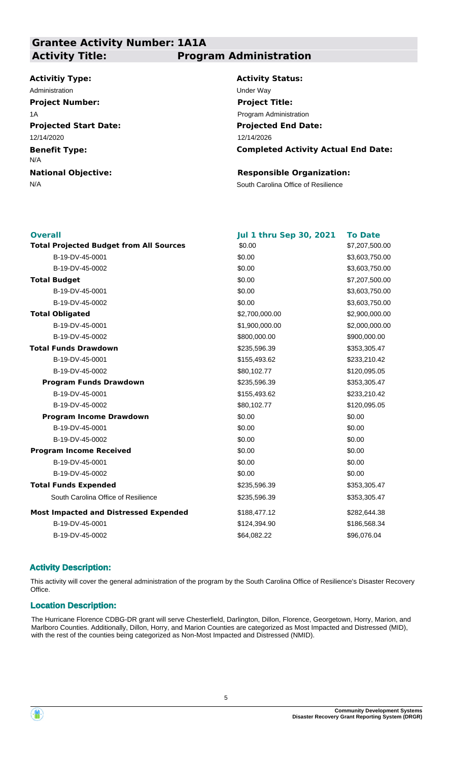# **Grantee Activity Number: 1A1A Activity Title: Program Administration**

## **Activitiy Type:**

**Projected Start Date: Benefit Type: National Objective:** 12/14/2020 N/A Administration **Under Way Project Number:** 1A

**Activity Status: Project Title:**

**Projected End Date:** Program Administration

**Completed Activity Actual End Date:** 12/14/2026

## **Responsible Organization:**

N/A South Carolina Office of Resilience

| <b>Overall</b>                                 | <b>Jul 1 thru Sep 30, 2021</b> | <b>To Date</b> |
|------------------------------------------------|--------------------------------|----------------|
| <b>Total Projected Budget from All Sources</b> | \$0.00                         | \$7,207,500.00 |
| B-19-DV-45-0001                                | \$0.00                         | \$3,603,750.00 |
| B-19-DV-45-0002                                | \$0.00                         | \$3,603,750.00 |
| <b>Total Budget</b>                            | \$0.00                         | \$7,207,500.00 |
| B-19-DV-45-0001                                | \$0.00                         | \$3,603,750.00 |
| B-19-DV-45-0002                                | \$0.00                         | \$3,603,750.00 |
| <b>Total Obligated</b>                         | \$2,700,000.00                 | \$2,900,000.00 |
| B-19-DV-45-0001                                | \$1,900,000.00                 | \$2,000,000.00 |
| B-19-DV-45-0002                                | \$800,000.00                   | \$900,000.00   |
| <b>Total Funds Drawdown</b>                    | \$235,596.39                   | \$353,305.47   |
| B-19-DV-45-0001                                | \$155,493.62                   | \$233,210.42   |
| B-19-DV-45-0002                                | \$80,102.77                    | \$120,095.05   |
| <b>Program Funds Drawdown</b>                  | \$235,596.39                   | \$353,305.47   |
| B-19-DV-45-0001                                | \$155,493.62                   | \$233,210.42   |
| B-19-DV-45-0002                                | \$80,102.77                    | \$120,095.05   |
| <b>Program Income Drawdown</b>                 | \$0.00                         | \$0.00         |
| B-19-DV-45-0001                                | \$0.00                         | \$0.00         |
| B-19-DV-45-0002                                | \$0.00                         | \$0.00         |
| <b>Program Income Received</b>                 | \$0.00                         | \$0.00         |
| B-19-DV-45-0001                                | \$0.00                         | \$0.00         |
| B-19-DV-45-0002                                | \$0.00                         | \$0.00         |
| <b>Total Funds Expended</b>                    | \$235,596.39                   | \$353,305.47   |
| South Carolina Office of Resilience            | \$235,596.39                   | \$353,305.47   |
| <b>Most Impacted and Distressed Expended</b>   | \$188,477.12                   | \$282,644.38   |
| B-19-DV-45-0001                                | \$124,394.90                   | \$186,568.34   |
| B-19-DV-45-0002                                | \$64,082.22                    | \$96,076.04    |
|                                                |                                |                |

## **Activity Description:**

This activity will cover the general administration of the program by the South Carolina Office of Resilience's Disaster Recovery Office.

## **Location Description:**

The Hurricane Florence CDBG-DR grant will serve Chesterfield, Darlington, Dillon, Florence, Georgetown, Horry, Marion, and Marlboro Counties. Additionally, Dillon, Horry, and Marion Counties are categorized as Most Impacted and Distressed (MID), with the rest of the counties being categorized as Non-Most Impacted and Distressed (NMID).

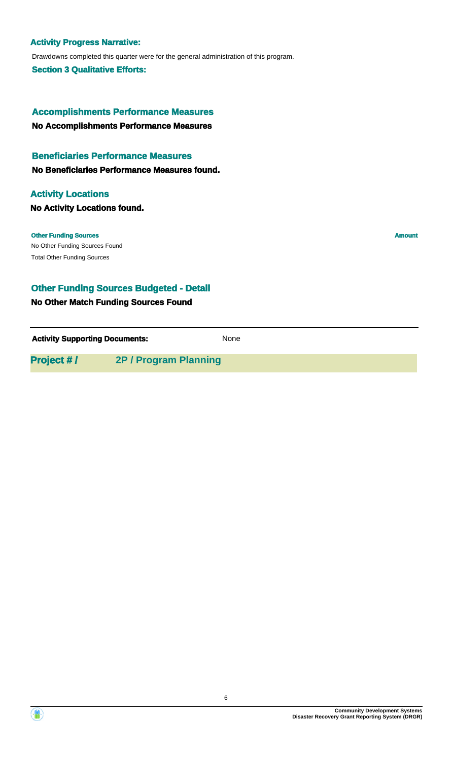#### **Activity Progress Narrative:**

Drawdowns completed this quarter were for the general administration of this program.

**Section 3 Qualitative Efforts:**

**No Accomplishments Performance Measures Accomplishments Performance Measures**

#### **Beneficiaries Performance Measures**

**No Beneficiaries Performance Measures found.**

## **Activity Locations**

**No Activity Locations found.**

No Other Funding Sources Found **Other Funding Sources Amount** Total Other Funding Sources

## **Other Funding Sources Budgeted - Detail**

#### **No Other Match Funding Sources Found**

**Activity Supporting Documents:** None

**Project # / 2P / Program Planning**

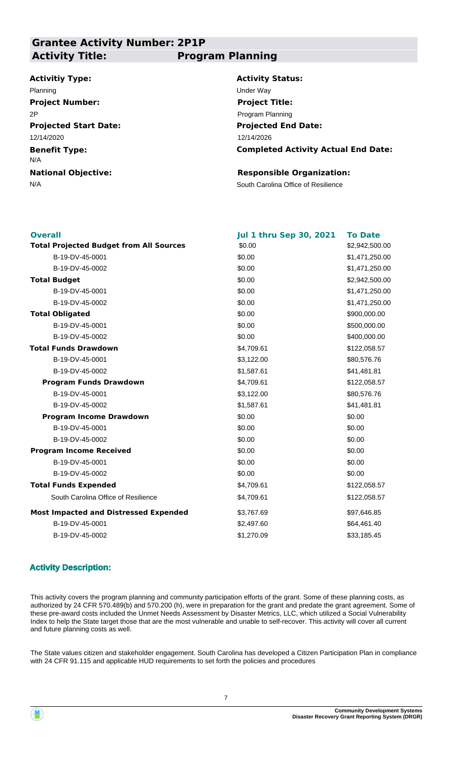# **Grantee Activity Number: 2P1P Activity Title: Program Planning**

#### **Activitiy Type:**

**Projected Start Date: Benefit Type: National Objective:** 12/14/2020 N/A Planning Under Way **Project Number:** 2P

**Activity Status: Projected End Date: Completed Activity Actual End Date:** 12/14/2026 **Project Title:** Program Planning

#### **Responsible Organization:**

N/A South Carolina Office of Resilience

| <b>Overall</b>                                 | <b>Jul 1 thru Sep 30, 2021</b> | <b>To Date</b> |
|------------------------------------------------|--------------------------------|----------------|
| <b>Total Projected Budget from All Sources</b> | \$0.00                         | \$2,942,500.00 |
| B-19-DV-45-0001                                | \$0.00                         | \$1,471,250.00 |
| B-19-DV-45-0002                                | \$0.00                         | \$1,471,250.00 |
| <b>Total Budget</b>                            | \$0.00                         | \$2,942,500.00 |
| B-19-DV-45-0001                                | \$0.00                         | \$1,471,250.00 |
| B-19-DV-45-0002                                | \$0.00                         | \$1,471,250.00 |
| <b>Total Obligated</b>                         | \$0.00                         | \$900,000.00   |
| B-19-DV-45-0001                                | \$0.00                         | \$500,000.00   |
| B-19-DV-45-0002                                | \$0.00                         | \$400,000.00   |
| <b>Total Funds Drawdown</b>                    | \$4,709.61                     | \$122,058.57   |
| B-19-DV-45-0001                                | \$3,122.00                     | \$80,576.76    |
| B-19-DV-45-0002                                | \$1,587.61                     | \$41,481.81    |
| <b>Program Funds Drawdown</b>                  | \$4,709.61                     | \$122,058.57   |
| B-19-DV-45-0001                                | \$3,122.00                     | \$80,576.76    |
| B-19-DV-45-0002                                | \$1,587.61                     | \$41,481.81    |
| <b>Program Income Drawdown</b>                 | \$0.00                         | \$0.00         |
| B-19-DV-45-0001                                | \$0.00                         | \$0.00         |
| B-19-DV-45-0002                                | \$0.00                         | \$0.00         |
| <b>Program Income Received</b>                 | \$0.00                         | \$0.00         |
| B-19-DV-45-0001                                | \$0.00                         | \$0.00         |
| B-19-DV-45-0002                                | \$0.00                         | \$0.00         |
| <b>Total Funds Expended</b>                    | \$4,709.61                     | \$122,058.57   |
| South Carolina Office of Resilience            | \$4,709.61                     | \$122,058.57   |
| <b>Most Impacted and Distressed Expended</b>   | \$3,767.69                     | \$97,646.85    |
| B-19-DV-45-0001                                | \$2,497.60                     | \$64,461.40    |
| B-19-DV-45-0002                                | \$1,270.09                     | \$33,185.45    |
|                                                |                                |                |

## **Activity Description:**

This activity covers the program planning and community participation efforts of the grant. Some of these planning costs, as authorized by 24 CFR 570.489(b) and 570.200 (h), were in preparation for the grant and predate the grant agreement. Some of these pre-award costs included the Unmet Needs Assessment by Disaster Metrics, LLC, which utilized a Social Vulnerability Index to help the State target those that are the most vulnerable and unable to self-recover. This activity will cover all current and future planning costs as well.

The State values citizen and stakeholder engagement. South Carolina has developed a Citizen Participation Plan in compliance with 24 CFR 91.115 and applicable HUD requirements to set forth the policies and procedures

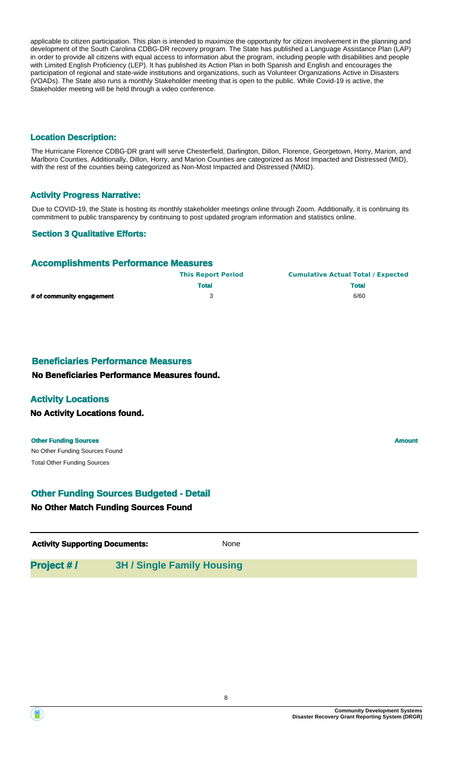applicable to citizen participation. This plan is intended to maximize the opportunity for citizen involvement in the planning and development of the South Carolina CDBG-DR recovery program. The State has published a Language Assistance Plan (LAP) in order to provide all citizens with equal access to information abut the program, including people with disabilities and people with Limited English Proficiency (LEP). It has published its Action Plan in both Spanish and English and encourages the participation of regional and state-wide institutions and organizations, such as Volunteer Organizations Active in Disasters (VOADs). The State also runs a monthly Stakeholder meeting that is open to the public. While Covid-19 is active, the Stakeholder meeting will be held through a video conference.

#### **Location Description:**

The Hurricane Florence CDBG-DR grant will serve Chesterfield, Darlington, Dillon, Florence, Georgetown, Horry, Marion, and Marlboro Counties. Additionally, Dillon, Horry, and Marion Counties are categorized as Most Impacted and Distressed (MID), with the rest of the counties being categorized as Non-Most Impacted and Distressed (NMID).

#### **Activity Progress Narrative:**

Due to COVID-19, the State is hosting its monthly stakeholder meetings online through Zoom. Additionally, it is continuing its commitment to public transparency by continuing to post updated program information and statistics online.

## **Section 3 Qualitative Efforts:**

## **Accomplishments Performance Measures**

|                           | <b>This Report Period</b> | <b>Cumulative Actual Total / Expected</b> |
|---------------------------|---------------------------|-------------------------------------------|
|                           | <b>Total</b>              | <b>Total</b>                              |
| # of community engagement |                           | 6/60                                      |

## **Beneficiaries Performance Measures**

#### **No Beneficiaries Performance Measures found.**

## **Activity Locations**

#### **No Activity Locations found.**

#### **Other Funding Sources Amount**

No Other Funding Sources Found Total Other Funding Sources

# **Other Funding Sources Budgeted - Detail**

#### **No Other Match Funding Sources Found**

| <b>Activity Supporting Documents:</b> | None |  |
|---------------------------------------|------|--|
|---------------------------------------|------|--|

| <b>Project #/</b> | <b>3H / Single Family Housing</b> |
|-------------------|-----------------------------------|
|-------------------|-----------------------------------|

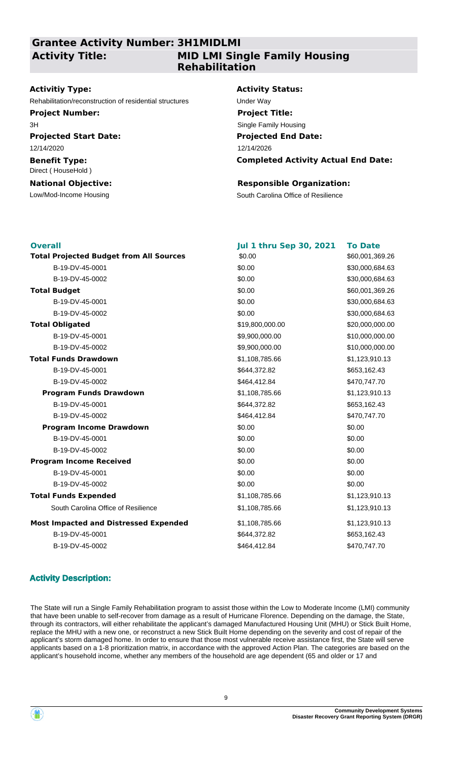# **Grantee Activity Number: 3H1MIDLMI Activity Title:**

# **MID LMI Single Family Housing Rehabilitation**

#### **Activitiy Type:**

Rehabilitation/reconstruction of residential structures Under Way

**Project Number:** 3H

**Projected Start Date:** 12/14/2020

### **Benefit Type:** Direct ( HouseHold )

**National Objective:**

#### **Activity Status:**

**Projected End Date: Completed Activity Actual End Date:** 12/14/2026 **Project Title:** Single Family Housing

#### **Responsible Organization:**

Low/Mod-Income Housing The South Carolina Office of Resilience

| <b>Overall</b>                                 | <b>Jul 1 thru Sep 30, 2021</b> | <b>To Date</b>  |
|------------------------------------------------|--------------------------------|-----------------|
| <b>Total Projected Budget from All Sources</b> | \$0.00                         | \$60,001,369.26 |
| B-19-DV-45-0001                                | \$0.00                         | \$30,000,684.63 |
| B-19-DV-45-0002                                | \$0.00                         | \$30,000,684.63 |
| <b>Total Budget</b>                            | \$0.00                         | \$60,001,369.26 |
| B-19-DV-45-0001                                | \$0.00                         | \$30,000,684.63 |
| B-19-DV-45-0002                                | \$0.00                         | \$30,000,684.63 |
| <b>Total Obligated</b>                         | \$19,800,000.00                | \$20,000,000.00 |
| B-19-DV-45-0001                                | \$9,900,000.00                 | \$10,000,000.00 |
| B-19-DV-45-0002                                | \$9,900,000.00                 | \$10,000,000.00 |
| <b>Total Funds Drawdown</b>                    | \$1,108,785.66                 | \$1,123,910.13  |
| B-19-DV-45-0001                                | \$644,372.82                   | \$653,162.43    |
| B-19-DV-45-0002                                | \$464,412.84                   | \$470,747.70    |
| <b>Program Funds Drawdown</b>                  | \$1,108,785.66                 | \$1,123,910.13  |
| B-19-DV-45-0001                                | \$644,372.82                   | \$653,162.43    |
| B-19-DV-45-0002                                | \$464,412.84                   | \$470,747.70    |
| <b>Program Income Drawdown</b>                 | \$0.00                         | \$0.00          |
| B-19-DV-45-0001                                | \$0.00                         | \$0.00          |
| B-19-DV-45-0002                                | \$0.00                         | \$0.00          |
| <b>Program Income Received</b>                 | \$0.00                         | \$0.00          |
| B-19-DV-45-0001                                | \$0.00                         | \$0.00          |
| B-19-DV-45-0002                                | \$0.00                         | \$0.00          |
| <b>Total Funds Expended</b>                    | \$1,108,785.66                 | \$1,123,910.13  |
| South Carolina Office of Resilience            | \$1,108,785.66                 | \$1,123,910.13  |
| <b>Most Impacted and Distressed Expended</b>   | \$1,108,785.66                 | \$1,123,910.13  |
| B-19-DV-45-0001                                | \$644,372.82                   | \$653,162.43    |
| B-19-DV-45-0002                                | \$464,412.84                   | \$470,747.70    |

# **Activity Description:**

The State will run a Single Family Rehabilitation program to assist those within the Low to Moderate Income (LMI) community that have been unable to self-recover from damage as a result of Hurricane Florence. Depending on the damage, the State, through its contractors, will either rehabilitate the applicant's damaged Manufactured Housing Unit (MHU) or Stick Built Home, replace the MHU with a new one, or reconstruct a new Stick Built Home depending on the severity and cost of repair of the applicant's storm damaged home. In order to ensure that those most vulnerable receive assistance first, the State will serve applicants based on a 1-8 prioritization matrix, in accordance with the approved Action Plan. The categories are based on the applicant's household income, whether any members of the household are age dependent (65 and older or 17 and

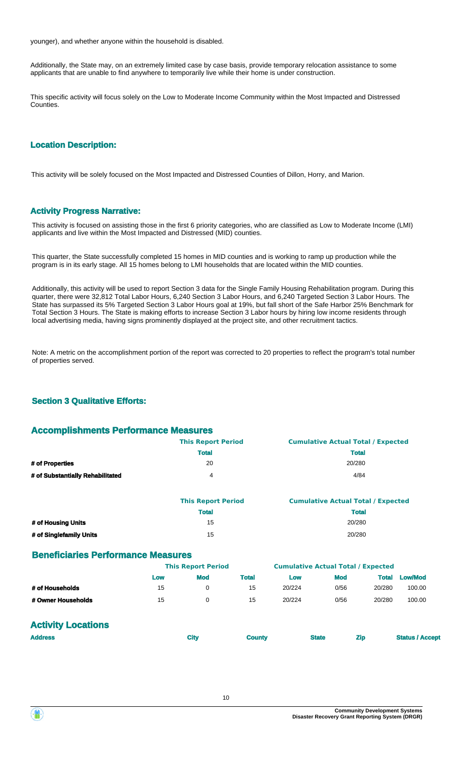younger), and whether anyone within the household is disabled.

Additionally, the State may, on an extremely limited case by case basis, provide temporary relocation assistance to some applicants that are unable to find anywhere to temporarily live while their home is under construction.

This specific activity will focus solely on the Low to Moderate Income Community within the Most Impacted and Distressed Counties.

#### **Location Description:**

This activity will be solely focused on the Most Impacted and Distressed Counties of Dillon, Horry, and Marion.

#### **Activity Progress Narrative:**

This activity is focused on assisting those in the first 6 priority categories, who are classified as Low to Moderate Income (LMI) applicants and live within the Most Impacted and Distressed (MID) counties.

This quarter, the State successfully completed 15 homes in MID counties and is working to ramp up production while the program is in its early stage. All 15 homes belong to LMI households that are located within the MID counties.

Additionally, this activity will be used to report Section 3 data for the Single Family Housing Rehabilitation program. During this quarter, there were 32,812 Total Labor Hours, 6,240 Section 3 Labor Hours, and 6,240 Targeted Section 3 Labor Hours. The State has surpassed its 5% Targeted Section 3 Labor Hours goal at 19%, but fall short of the Safe Harbor 25% Benchmark for Total Section 3 Hours. The State is making efforts to increase Section 3 Labor hours by hiring low income residents through local advertising media, having signs prominently displayed at the project site, and other recruitment tactics.

Note: A metric on the accomplishment portion of the report was corrected to 20 properties to reflect the program's total number of properties served.

#### **Section 3 Qualitative Efforts:**

#### **Accomplishments Performance Measures**

|                                  | <b>This Report Period</b> | <b>Cumulative Actual Total / Expected</b> |
|----------------------------------|---------------------------|-------------------------------------------|
|                                  | <b>Total</b>              | <b>Total</b>                              |
| # of Properties                  | 20                        | 20/280                                    |
| # of Substantially Rehabilitated | 4                         | 4/84                                      |

|                         | <b>This Report Period</b> | <b>Cumulative Actual Total / Expected</b> |
|-------------------------|---------------------------|-------------------------------------------|
|                         | <b>Total</b>              | <b>Total</b>                              |
| # of Housing Units      | 15                        | 20/280                                    |
| # of Singlefamily Units | 15                        | 20/280                                    |

#### **Beneficiaries Performance Measures**

|                    |     | <b>This Report Period</b> |              | <b>Cumulative Actual Total / Expected</b> |            |        |                |
|--------------------|-----|---------------------------|--------------|-------------------------------------------|------------|--------|----------------|
|                    | Low | Mod                       | <b>Total</b> | Low                                       | <b>Mod</b> | Total  | <b>Low/Mod</b> |
| # of Households    | 15  |                           | 15           | 20/224                                    | 0/56       | 20/280 | 100.00         |
| # Owner Households | 15  |                           | 15           | 20/224                                    | 0/56       | 20/280 | 100.00         |

## **Activity Locations**

| <b>Address</b> | City | <b>County</b> | <b>State</b> | <b>Zip</b> | <b>Status / Accept</b> |
|----------------|------|---------------|--------------|------------|------------------------|
|                |      |               |              |            |                        |

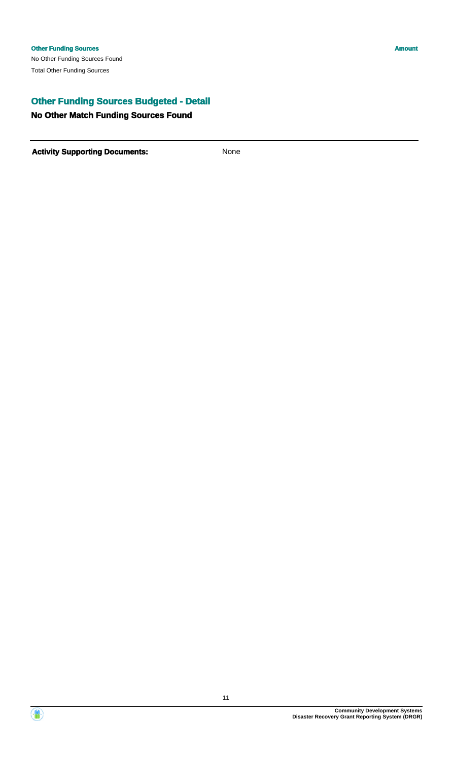# **Other Funding Sources Budgeted - Detail**

## **No Other Match Funding Sources Found**

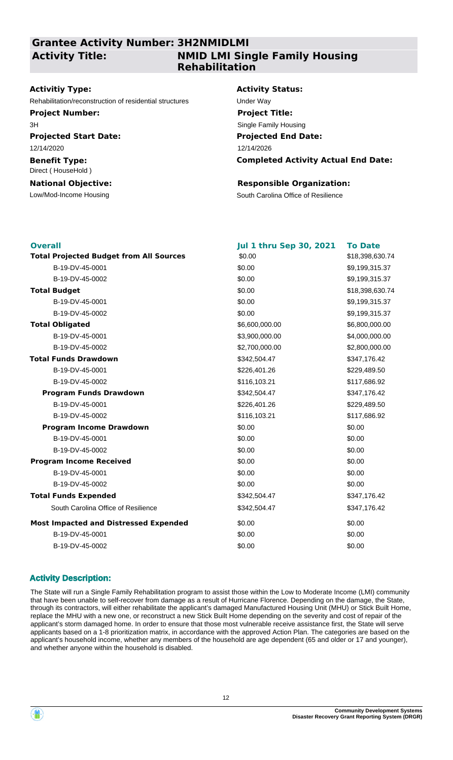# **Grantee Activity Number: 3H2NMIDLMI Activity Title:**

# **NMID LMI Single Family Housing Rehabilitation**

#### **Activitiy Type:**

Rehabilitation/reconstruction of residential structures Under Way

**Project Number:** 3H

**Projected Start Date:** 12/14/2020

## **Benefit Type:** Direct ( HouseHold )

# **National Objective:**

#### **Activity Status:**

**Projected End Date: Completed Activity Actual End Date:** 12/14/2026 **Project Title:** Single Family Housing

#### **Responsible Organization:**

Low/Mod-Income Housing The South Carolina Office of Resilience

| <b>Overall</b>                                 | <b>Jul 1 thru Sep 30, 2021</b> | <b>To Date</b>  |
|------------------------------------------------|--------------------------------|-----------------|
| <b>Total Projected Budget from All Sources</b> | \$0.00                         | \$18,398,630.74 |
| B-19-DV-45-0001                                | \$0.00                         | \$9,199,315.37  |
| B-19-DV-45-0002                                | \$0.00                         | \$9,199,315.37  |
| <b>Total Budget</b>                            | \$0.00                         | \$18,398,630.74 |
| B-19-DV-45-0001                                | \$0.00                         | \$9,199,315.37  |
| B-19-DV-45-0002                                | \$0.00                         | \$9,199,315.37  |
| <b>Total Obligated</b>                         | \$6,600,000.00                 | \$6,800,000.00  |
| B-19-DV-45-0001                                | \$3,900,000.00                 | \$4,000,000.00  |
| B-19-DV-45-0002                                | \$2,700,000.00                 | \$2,800,000.00  |
| <b>Total Funds Drawdown</b>                    | \$342,504.47                   | \$347,176.42    |
| B-19-DV-45-0001                                | \$226,401.26                   | \$229,489.50    |
| B-19-DV-45-0002                                | \$116,103.21                   | \$117,686.92    |
| <b>Program Funds Drawdown</b>                  | \$342,504.47                   | \$347,176.42    |
| B-19-DV-45-0001                                | \$226,401.26                   | \$229,489.50    |
| B-19-DV-45-0002                                | \$116,103.21                   | \$117,686.92    |
| <b>Program Income Drawdown</b>                 | \$0.00                         | \$0.00          |
| B-19-DV-45-0001                                | \$0.00                         | \$0.00          |
| B-19-DV-45-0002                                | \$0.00                         | \$0.00          |
| <b>Program Income Received</b>                 | \$0.00                         | \$0.00          |
| B-19-DV-45-0001                                | \$0.00                         | \$0.00          |
| B-19-DV-45-0002                                | \$0.00                         | \$0.00          |
| <b>Total Funds Expended</b>                    | \$342,504.47                   | \$347,176.42    |
| South Carolina Office of Resilience            | \$342,504.47                   | \$347,176.42    |
| <b>Most Impacted and Distressed Expended</b>   | \$0.00                         | \$0.00          |
| B-19-DV-45-0001                                | \$0.00                         | \$0.00          |
| B-19-DV-45-0002                                | \$0.00                         | \$0.00          |

## **Activity Description:**

The State will run a Single Family Rehabilitation program to assist those within the Low to Moderate Income (LMI) community that have been unable to self-recover from damage as a result of Hurricane Florence. Depending on the damage, the State, through its contractors, will either rehabilitate the applicant's damaged Manufactured Housing Unit (MHU) or Stick Built Home, replace the MHU with a new one, or reconstruct a new Stick Built Home depending on the severity and cost of repair of the applicant's storm damaged home. In order to ensure that those most vulnerable receive assistance first, the State will serve applicants based on a 1-8 prioritization matrix, in accordance with the approved Action Plan. The categories are based on the applicant's household income, whether any members of the household are age dependent (65 and older or 17 and younger), and whether anyone within the household is disabled.

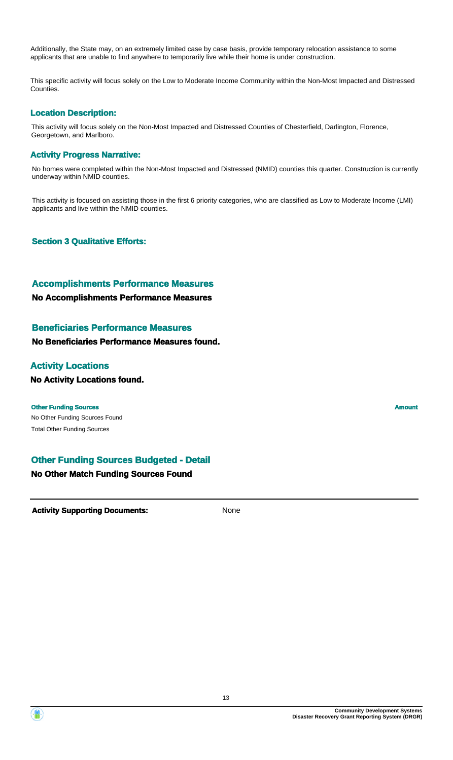Additionally, the State may, on an extremely limited case by case basis, provide temporary relocation assistance to some applicants that are unable to find anywhere to temporarily live while their home is under construction.

This specific activity will focus solely on the Low to Moderate Income Community within the Non-Most Impacted and Distressed Counties.

## **Location Description:**

This activity will focus solely on the Non-Most Impacted and Distressed Counties of Chesterfield, Darlington, Florence, Georgetown, and Marlboro.

#### **Activity Progress Narrative:**

No homes were completed within the Non-Most Impacted and Distressed (NMID) counties this quarter. Construction is currently underway within NMID counties.

This activity is focused on assisting those in the first 6 priority categories, who are classified as Low to Moderate Income (LMI) applicants and live within the NMID counties.

**Section 3 Qualitative Efforts:**

#### **Accomplishments Performance Measures**

**No Accomplishments Performance Measures**

#### **Beneficiaries Performance Measures**

**No Beneficiaries Performance Measures found.**

## **Activity Locations**

**No Activity Locations found.**

#### **Other Funding Sources Amount Amount Amount Amount Amount Amount Amount**

No Other Funding Sources Found Total Other Funding Sources

## **Other Funding Sources Budgeted - Detail**

#### **No Other Match Funding Sources Found**

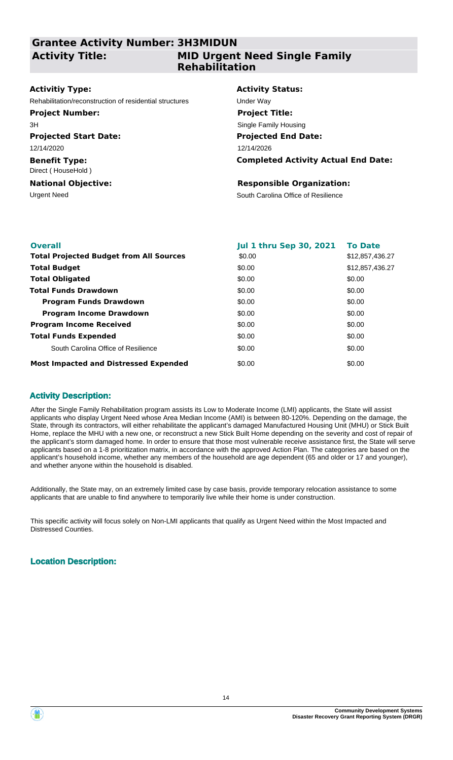# **Grantee Activity Number: 3H3MIDUN Activity Title:**

# **MID Urgent Need Single Family Rehabilitation**

#### **Activitiy Type:**

Rehabilitation/reconstruction of residential structures Under Way

#### **Project Number:**

3H

# **Projected Start Date:**

12/14/2020

**Benefit Type:** Direct ( HouseHold )

# **National Objective:**

#### **Activity Status:**

**Projected End Date: Completed Activity Actual End Date:** 12/14/2026 **Project Title:** Single Family Housing

#### **Responsible Organization:**

Urgent Need South Carolina Office of Resilience

| <b>Overall</b>                                 | <b>Jul 1 thru Sep 30, 2021</b> | <b>To Date</b>  |
|------------------------------------------------|--------------------------------|-----------------|
| <b>Total Projected Budget from All Sources</b> | \$0.00                         | \$12,857,436.27 |
| <b>Total Budget</b>                            | \$0.00                         | \$12,857,436.27 |
| <b>Total Obligated</b>                         | \$0.00                         | \$0.00          |
| <b>Total Funds Drawdown</b>                    | \$0.00                         | \$0.00          |
| <b>Program Funds Drawdown</b>                  | \$0.00                         | \$0.00          |
| <b>Program Income Drawdown</b>                 | \$0.00                         | \$0.00          |
| <b>Program Income Received</b>                 | \$0.00                         | \$0.00          |
| <b>Total Funds Expended</b>                    | \$0.00                         | \$0.00          |
| South Carolina Office of Resilience            | \$0.00                         | \$0.00          |
| <b>Most Impacted and Distressed Expended</b>   | \$0.00                         | \$0.00          |

## **Activity Description:**

After the Single Family Rehabilitation program assists its Low to Moderate Income (LMI) applicants, the State will assist applicants who display Urgent Need whose Area Median Income (AMI) is between 80-120%. Depending on the damage, the State, through its contractors, will either rehabilitate the applicant's damaged Manufactured Housing Unit (MHU) or Stick Built Home, replace the MHU with a new one, or reconstruct a new Stick Built Home depending on the severity and cost of repair of the applicant's storm damaged home. In order to ensure that those most vulnerable receive assistance first, the State will serve applicants based on a 1-8 prioritization matrix, in accordance with the approved Action Plan. The categories are based on the applicant's household income, whether any members of the household are age dependent (65 and older or 17 and younger), and whether anyone within the household is disabled.

Additionally, the State may, on an extremely limited case by case basis, provide temporary relocation assistance to some applicants that are unable to find anywhere to temporarily live while their home is under construction.

This specific activity will focus solely on Non-LMI applicants that qualify as Urgent Need within the Most Impacted and Distressed Counties.

# **Location Description:**

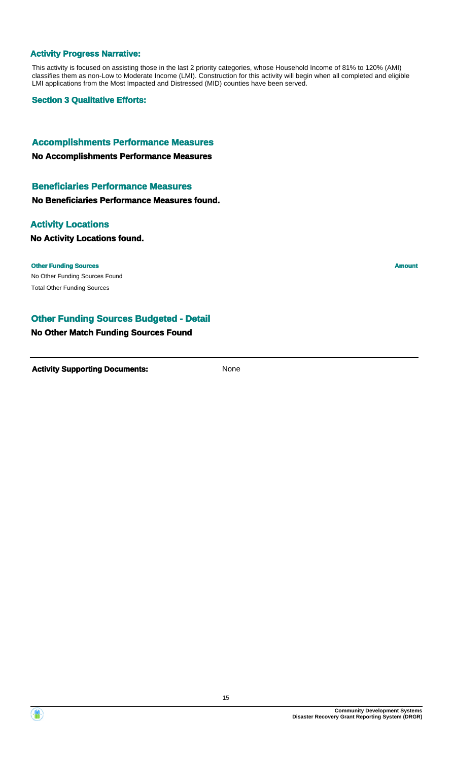#### **Activity Progress Narrative:**

This activity is focused on assisting those in the last 2 priority categories, whose Household Income of 81% to 120% (AMI) classifies them as non-Low to Moderate Income (LMI). Construction for this activity will begin when all completed and eligible LMI applications from the Most Impacted and Distressed (MID) counties have been served.

**Section 3 Qualitative Efforts:**

# **Accomplishments Performance Measures**

**No Accomplishments Performance Measures**

### **Beneficiaries Performance Measures**

#### **No Beneficiaries Performance Measures found.**

#### **Activity Locations**

#### **No Activity Locations found.**

#### **Other Funding Sources Amount Amount Amount Amount Amount Amount Amount**

No Other Funding Sources Found Total Other Funding Sources

## **Other Funding Sources Budgeted - Detail**

### **No Other Match Funding Sources Found**

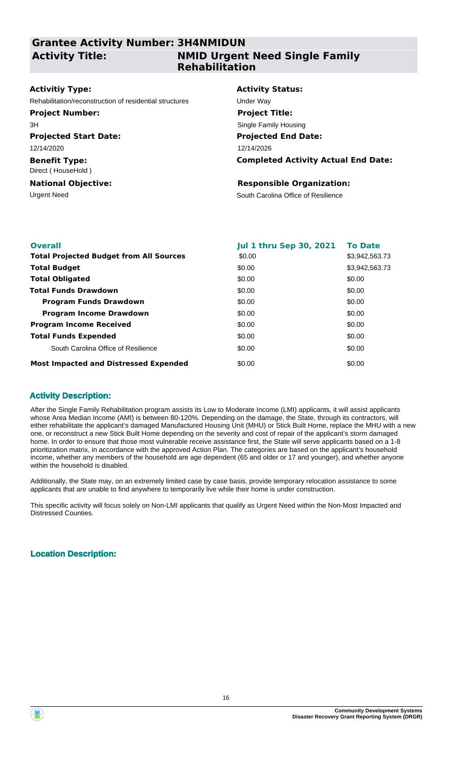# **Grantee Activity Number: 3H4NMIDUN Activity Title:**

# **NMID Urgent Need Single Family Rehabilitation**

#### **Activitiy Type:**

Rehabilitation/reconstruction of residential structures Under Way

#### **Project Number:**

3H

# **Projected Start Date:**

12/14/2020

#### **Benefit Type:** Direct ( HouseHold )

**National Objective:**

#### **Activity Status:**

**Projected End Date: Completed Activity Actual End Date:** 12/14/2026 **Project Title:** Single Family Housing

#### **Responsible Organization:**

Urgent Need South Carolina Office of Resilience

| <b>Overall</b>                                 | <b>Jul 1 thru Sep 30, 2021</b> | <b>To Date</b> |
|------------------------------------------------|--------------------------------|----------------|
| <b>Total Projected Budget from All Sources</b> | \$0.00                         | \$3,942,563.73 |
| <b>Total Budget</b>                            | \$0.00                         | \$3,942,563.73 |
| <b>Total Obligated</b>                         | \$0.00                         | \$0.00         |
| <b>Total Funds Drawdown</b>                    | \$0.00                         | \$0.00         |
| <b>Program Funds Drawdown</b>                  | \$0.00                         | \$0.00         |
| <b>Program Income Drawdown</b>                 | \$0.00                         | \$0.00         |
| <b>Program Income Received</b>                 | \$0.00                         | \$0.00         |
| <b>Total Funds Expended</b>                    | \$0.00                         | \$0.00         |
| South Carolina Office of Resilience            | \$0.00                         | \$0.00         |
| <b>Most Impacted and Distressed Expended</b>   | \$0.00                         | \$0.00         |

## **Activity Description:**

After the Single Family Rehabilitation program assists its Low to Moderate Income (LMI) applicants, it will assist applicants whose Area Median Income (AMI) is between 80-120%. Depending on the damage, the State, through its contractors, will either rehabilitate the applicant's damaged Manufactured Housing Unit (MHU) or Stick Built Home, replace the MHU with a new one, or reconstruct a new Stick Built Home depending on the severity and cost of repair of the applicant's storm damaged home. In order to ensure that those most vulnerable receive assistance first, the State will serve applicants based on a 1-8 prioritization matrix, in accordance with the approved Action Plan. The categories are based on the applicant's household income, whether any members of the household are age dependent (65 and older or 17 and younger), and whether anyone within the household is disabled.

Additionally, the State may, on an extremely limited case by case basis, provide temporary relocation assistance to some applicants that are unable to find anywhere to temporarily live while their home is under construction.

This specific activity will focus solely on Non-LMI applicants that qualify as Urgent Need within the Non-Most Impacted and Distressed Counties.

# **Location Description:**

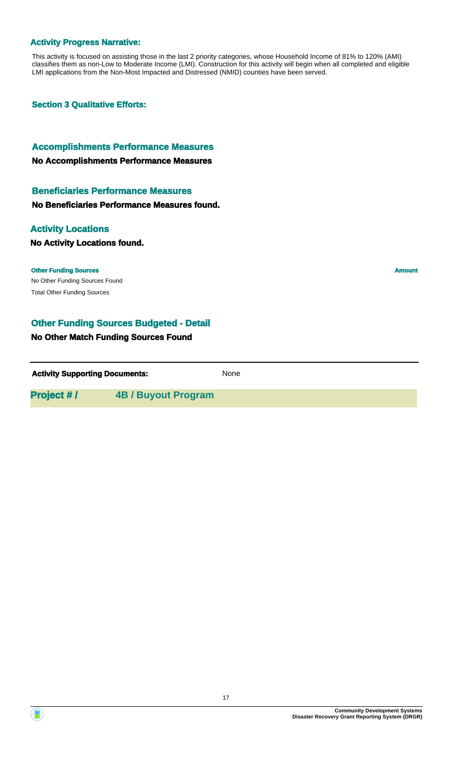#### **Activity Progress Narrative:**

This activity is focused on assisting those in the last 2 priority categories, whose Household Income of 81% to 120% (AMI) classifies them as non-Low to Moderate Income (LMI). Construction for this activity will begin when all completed and eligible LMI applications from the Non-Most Impacted and Distressed (NMID) counties have been served.

**Section 3 Qualitative Efforts:**

#### **Accomplishments Performance Measures**

**No Accomplishments Performance Measures**

#### **Beneficiaries Performance Measures**

**No Beneficiaries Performance Measures found.**

## **Activity Locations**

#### **No Activity Locations found.**

No Other Funding Sources Found **Other Funding Sources Amount Amount Amount Amount Amount Amount Amount** Total Other Funding Sources

# **Other Funding Sources Budgeted - Detail**

## **No Other Match Funding Sources Found**

**Activity Supporting Documents:** None

**Project # / 4B / Buyout Program**

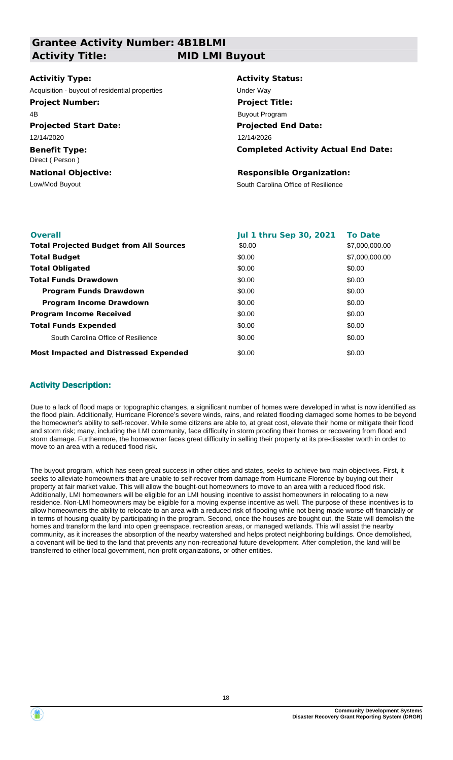**Grantee Activity Number: 4B1BLMI Activity Title: MID LMI Buyout**

#### **Activitiy Type:**

Acquisition - buyout of residential properties **Exercise Server Way** 

#### **Project Number:**

4B

**Projected Start Date:** 12/14/2020

**Benefit Type:** Direct ( Person )

**National Objective:**

# **Activity Status:**

**Projected End Date: Completed Activity Actual End Date:** 12/14/2026 **Project Title:** Buyout Program

#### **Responsible Organization:**

Low/Mod Buyout **South Carolina Office of Resilience** 

| <b>Overall</b>                                 | <b>Jul 1 thru Sep 30, 2021</b> | <b>To Date</b> |
|------------------------------------------------|--------------------------------|----------------|
| <b>Total Projected Budget from All Sources</b> | \$0.00                         | \$7,000,000.00 |
| <b>Total Budget</b>                            | \$0.00                         | \$7,000,000.00 |
| <b>Total Obligated</b>                         | \$0.00                         | \$0.00         |
| <b>Total Funds Drawdown</b>                    | \$0.00                         | \$0.00         |
| <b>Program Funds Drawdown</b>                  | \$0.00                         | \$0.00         |
| <b>Program Income Drawdown</b>                 | \$0.00                         | \$0.00         |
| <b>Program Income Received</b>                 | \$0.00                         | \$0.00         |
| <b>Total Funds Expended</b>                    | \$0.00                         | \$0.00         |
| South Carolina Office of Resilience            | \$0.00                         | \$0.00         |
| <b>Most Impacted and Distressed Expended</b>   | \$0.00                         | \$0.00         |

## **Activity Description:**

Due to a lack of flood maps or topographic changes, a significant number of homes were developed in what is now identified as the flood plain. Additionally, Hurricane Florence's severe winds, rains, and related flooding damaged some homes to be beyond the homeowner's ability to self-recover. While some citizens are able to, at great cost, elevate their home or mitigate their flood and storm risk; many, including the LMI community, face difficulty in storm proofing their homes or recovering from flood and storm damage. Furthermore, the homeowner faces great difficulty in selling their property at its pre-disaster worth in order to move to an area with a reduced flood risk.

The buyout program, which has seen great success in other cities and states, seeks to achieve two main objectives. First, it seeks to alleviate homeowners that are unable to self-recover from damage from Hurricane Florence by buying out their property at fair market value. This will allow the bought-out homeowners to move to an area with a reduced flood risk. Additionally, LMI homeowners will be eligible for an LMI housing incentive to assist homeowners in relocating to a new residence. Non-LMI homeowners may be eligible for a moving expense incentive as well. The purpose of these incentives is to allow homeowners the ability to relocate to an area with a reduced risk of flooding while not being made worse off financially or in terms of housing quality by participating in the program. Second, once the houses are bought out, the State will demolish the homes and transform the land into open greenspace, recreation areas, or managed wetlands. This will assist the nearby community, as it increases the absorption of the nearby watershed and helps protect neighboring buildings. Once demolished, a covenant will be tied to the land that prevents any non-recreational future development. After completion, the land will be transferred to either local government, non-profit organizations, or other entities.

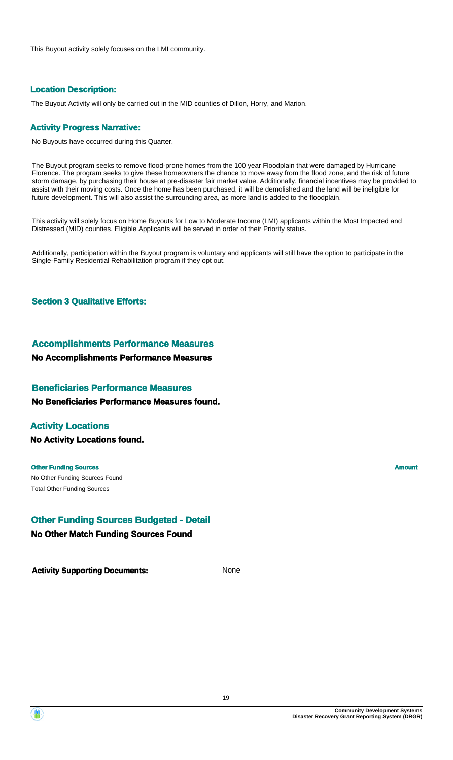This Buyout activity solely focuses on the LMI community.

## **Location Description:**

The Buyout Activity will only be carried out in the MID counties of Dillon, Horry, and Marion.

#### **Activity Progress Narrative:**

No Buyouts have occurred during this Quarter.

The Buyout program seeks to remove flood-prone homes from the 100 year Floodplain that were damaged by Hurricane Florence. The program seeks to give these homeowners the chance to move away from the flood zone, and the risk of future storm damage, by purchasing their house at pre-disaster fair market value. Additionally, financial incentives may be provided to assist with their moving costs. Once the home has been purchased, it will be demolished and the land will be ineligible for future development. This will also assist the surrounding area, as more land is added to the floodplain.

This activity will solely focus on Home Buyouts for Low to Moderate Income (LMI) applicants within the Most Impacted and Distressed (MID) counties. Eligible Applicants will be served in order of their Priority status.

Additionally, participation within the Buyout program is voluntary and applicants will still have the option to participate in the Single-Family Residential Rehabilitation program if they opt out.

#### **Section 3 Qualitative Efforts:**

#### **Accomplishments Performance Measures**

**No Accomplishments Performance Measures**

#### **Beneficiaries Performance Measures**

**No Beneficiaries Performance Measures found.**

#### **Activity Locations**

**No Activity Locations found.**

#### **Other Funding Sources Amount Amount Amount Amount Amount Amount Amount**

No Other Funding Sources Found Total Other Funding Sources

## **Other Funding Sources Budgeted - Detail**

#### **No Other Match Funding Sources Found**

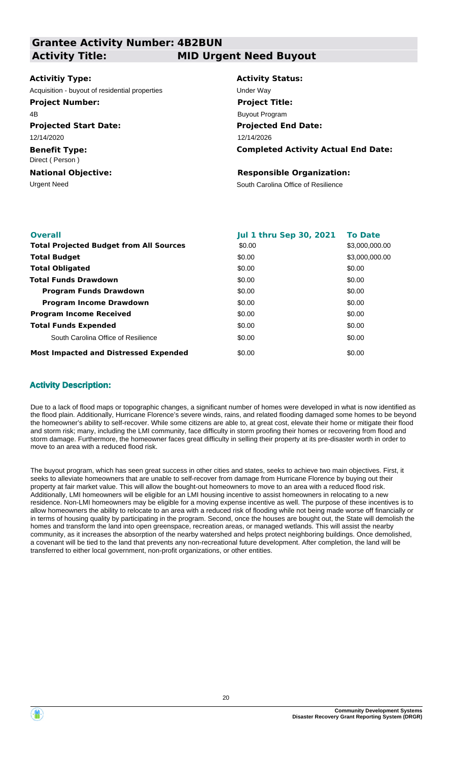**Grantee Activity Number: 4B2BUN Projected Start Date: Benefit Type:** Urgent Need **South Carolina Office of Resilience National Objective: Activity Status: Projected End Date: Completed Activity Actual End Date: Activitiy Type:** 12/14/2026 12/14/2020 Direct ( Person ) **Responsible Organization:** Acquisition - buyout of residential properties **Exercise Server Way Activity Title: MID Urgent Need Buyout Project Number:** 4B **Project Title:** Buyout Program

| <b>Overall</b>                                 | <b>Jul 1 thru Sep 30, 2021</b> | <b>To Date</b> |
|------------------------------------------------|--------------------------------|----------------|
| <b>Total Projected Budget from All Sources</b> | \$0.00                         | \$3,000,000.00 |
| <b>Total Budget</b>                            | \$0.00                         | \$3,000,000.00 |
| <b>Total Obligated</b>                         | \$0.00                         | \$0.00         |
| <b>Total Funds Drawdown</b>                    | \$0.00                         | \$0.00         |
| <b>Program Funds Drawdown</b>                  | \$0.00                         | \$0.00         |
| <b>Program Income Drawdown</b>                 | \$0.00                         | \$0.00         |
| <b>Program Income Received</b>                 | \$0.00                         | \$0.00         |
| <b>Total Funds Expended</b>                    | \$0.00                         | \$0.00         |
| South Carolina Office of Resilience            | \$0.00                         | \$0.00         |
| <b>Most Impacted and Distressed Expended</b>   | \$0.00                         | \$0.00         |

## **Activity Description:**

Due to a lack of flood maps or topographic changes, a significant number of homes were developed in what is now identified as the flood plain. Additionally, Hurricane Florence's severe winds, rains, and related flooding damaged some homes to be beyond the homeowner's ability to self-recover. While some citizens are able to, at great cost, elevate their home or mitigate their flood and storm risk; many, including the LMI community, face difficulty in storm proofing their homes or recovering from flood and storm damage. Furthermore, the homeowner faces great difficulty in selling their property at its pre-disaster worth in order to move to an area with a reduced flood risk.

The buyout program, which has seen great success in other cities and states, seeks to achieve two main objectives. First, it seeks to alleviate homeowners that are unable to self-recover from damage from Hurricane Florence by buying out their property at fair market value. This will allow the bought-out homeowners to move to an area with a reduced flood risk. Additionally, LMI homeowners will be eligible for an LMI housing incentive to assist homeowners in relocating to a new residence. Non-LMI homeowners may be eligible for a moving expense incentive as well. The purpose of these incentives is to allow homeowners the ability to relocate to an area with a reduced risk of flooding while not being made worse off financially or in terms of housing quality by participating in the program. Second, once the houses are bought out, the State will demolish the homes and transform the land into open greenspace, recreation areas, or managed wetlands. This will assist the nearby community, as it increases the absorption of the nearby watershed and helps protect neighboring buildings. Once demolished, a covenant will be tied to the land that prevents any non-recreational future development. After completion, the land will be transferred to either local government, non-profit organizations, or other entities.

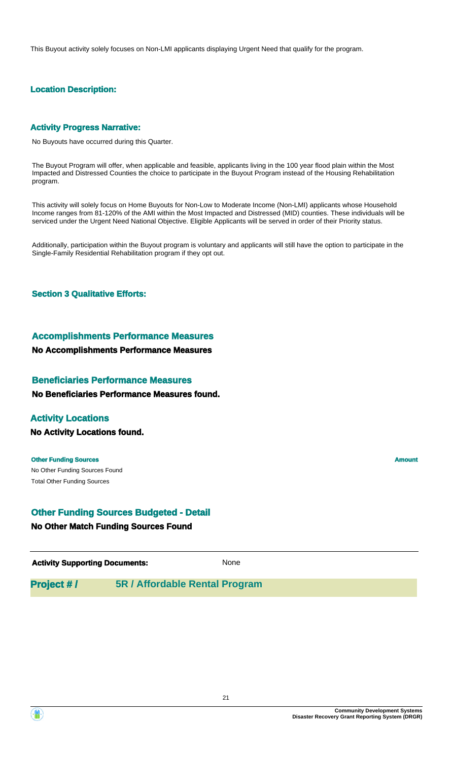This Buyout activity solely focuses on Non-LMI applicants displaying Urgent Need that qualify for the program.

# **Location Description:**

## **Activity Progress Narrative:**

No Buyouts have occurred during this Quarter.

The Buyout Program will offer, when applicable and feasible, applicants living in the 100 year flood plain within the Most Impacted and Distressed Counties the choice to participate in the Buyout Program instead of the Housing Rehabilitation program.

This activity will solely focus on Home Buyouts for Non-Low to Moderate Income (Non-LMI) applicants whose Household Income ranges from 81-120% of the AMI within the Most Impacted and Distressed (MID) counties. These individuals will be serviced under the Urgent Need National Objective. Eligible Applicants will be served in order of their Priority status.

Additionally, participation within the Buyout program is voluntary and applicants will still have the option to participate in the Single-Family Residential Rehabilitation program if they opt out.

#### **Section 3 Qualitative Efforts:**

#### **Accomplishments Performance Measures**

#### **No Accomplishments Performance Measures**

#### **Beneficiaries Performance Measures**

**No Beneficiaries Performance Measures found.**

## **Activity Locations**

**No Activity Locations found.**

No Other Funding Sources Found **Other Funding Sources Amount Amount Amount Amount Amount Amount Amount** Total Other Funding Sources

#### **Other Funding Sources Budgeted - Detail**

#### **No Other Match Funding Sources Found**

Activity **Supporting Documents:** None

**Project # / 5R / Affordable Rental Program**

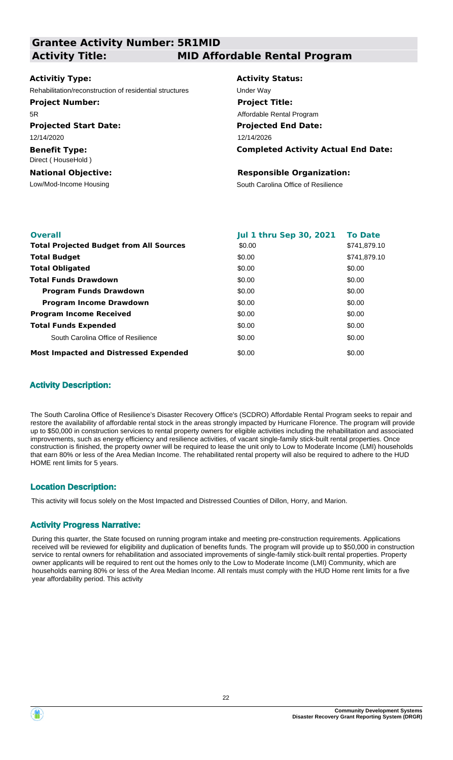| <b>Grantee Activity Number: 5R1MID</b>                  |                                            |
|---------------------------------------------------------|--------------------------------------------|
| <b>Activity Title:</b>                                  | <b>MID Affordable Rental Program</b>       |
|                                                         |                                            |
| Activitiy Type:                                         | <b>Activity Status:</b>                    |
| Rehabilitation/reconstruction of residential structures | Under Way                                  |
| <b>Project Number:</b>                                  | <b>Project Title:</b>                      |
| 5R.                                                     | Affordable Rental Program                  |
| <b>Projected Start Date:</b>                            | <b>Projected End Date:</b>                 |
| 12/14/2020                                              | 12/14/2026                                 |
| <b>Benefit Type:</b><br>Direct (HouseHold)              | <b>Completed Activity Actual End Date:</b> |
| <b>National Objective:</b>                              | <b>Responsible Organization:</b>           |
| Low/Mod-Income Housing                                  | South Carolina Office of Resilience        |
|                                                         |                                            |
|                                                         |                                            |

| <b>Overall</b>                                 | <b>Jul 1 thru Sep 30, 2021</b> | <b>To Date</b> |
|------------------------------------------------|--------------------------------|----------------|
| <b>Total Projected Budget from All Sources</b> | \$0.00                         | \$741,879.10   |
| <b>Total Budget</b>                            | \$0.00                         | \$741.879.10   |
| <b>Total Obligated</b>                         | \$0.00                         | \$0.00         |
| <b>Total Funds Drawdown</b>                    | \$0.00                         | \$0.00         |
| <b>Program Funds Drawdown</b>                  | \$0.00                         | \$0.00         |
| <b>Program Income Drawdown</b>                 | \$0.00                         | \$0.00         |
| <b>Program Income Received</b>                 | \$0.00                         | \$0.00         |
| <b>Total Funds Expended</b>                    | \$0.00                         | \$0.00         |
| South Carolina Office of Resilience            | \$0.00                         | \$0.00         |
| <b>Most Impacted and Distressed Expended</b>   | \$0.00                         | \$0.00         |

## **Activity Description:**

The South Carolina Office of Resilience's Disaster Recovery Office's (SCDRO) Affordable Rental Program seeks to repair and restore the availability of affordable rental stock in the areas strongly impacted by Hurricane Florence. The program will provide up to \$50,000 in construction services to rental property owners for eligible activities including the rehabilitation and associated improvements, such as energy efficiency and resilience activities, of vacant single-family stick-built rental properties. Once construction is finished, the property owner will be required to lease the unit only to Low to Moderate Income (LMI) households that earn 80% or less of the Area Median Income. The rehabilitated rental property will also be required to adhere to the HUD HOME rent limits for 5 years.

#### **Location Description:**

This activity will focus solely on the Most Impacted and Distressed Counties of Dillon, Horry, and Marion.

#### **Activity Progress Narrative:**

During this quarter, the State focused on running program intake and meeting pre-construction requirements. Applications received will be reviewed for eligibility and duplication of benefits funds. The program will provide up to \$50,000 in construction service to rental owners for rehabilitation and associated improvements of single-family stick-built rental properties. Property owner applicants will be required to rent out the homes only to the Low to Moderate Income (LMI) Community, which are households earning 80% or less of the Area Median Income. All rentals must comply with the HUD Home rent limits for a five year affordability period. This activity

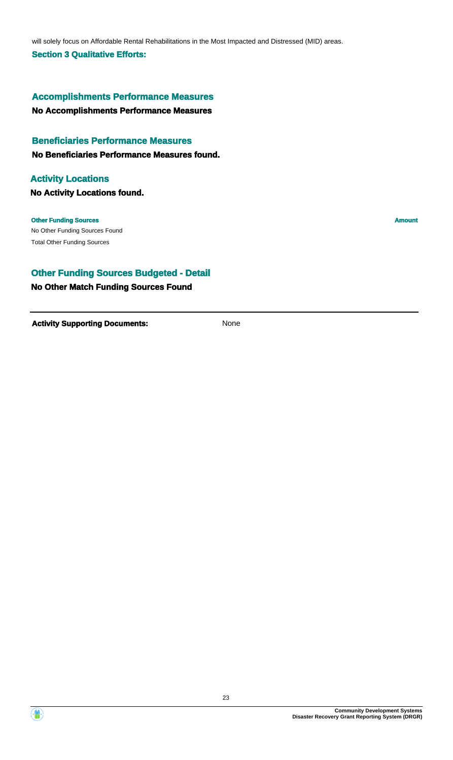will solely focus on Affordable Rental Rehabilitations in the Most Impacted and Distressed (MID) areas.

#### **Section 3 Qualitative Efforts:**

# **Accomplishments Performance Measures**

**No Accomplishments Performance Measures**

## **Beneficiaries Performance Measures**

**No Beneficiaries Performance Measures found.**

# **No Activity Locations found. Activity Locations**

**Other Funding Sources Amount Amount Amount Amount Amount Amount Amount** 

No Other Funding Sources Found Total Other Funding Sources

## **Other Funding Sources Budgeted - Detail**

# **No Other Match Funding Sources Found**



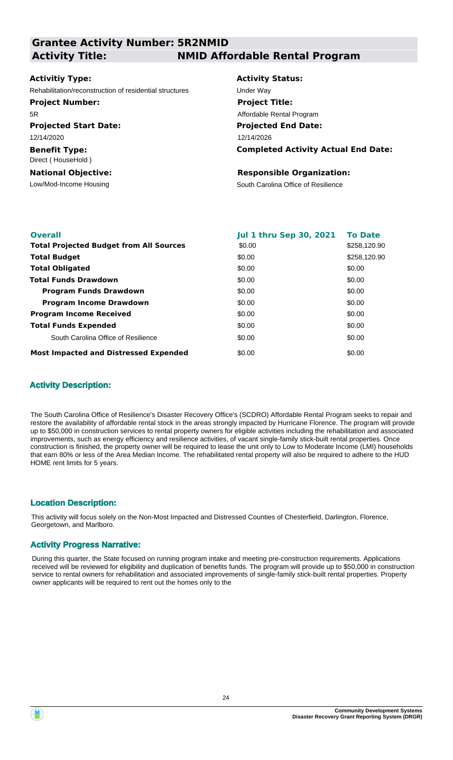| <b>Grantee Activity Number: 5R2NMID</b>                 |                                            |
|---------------------------------------------------------|--------------------------------------------|
| <b>Activity Title:</b>                                  | <b>NMID Affordable Rental Program</b>      |
|                                                         |                                            |
| <b>Activitiy Type:</b>                                  | <b>Activity Status:</b>                    |
| Rehabilitation/reconstruction of residential structures | Under Way                                  |
| <b>Project Number:</b>                                  | <b>Project Title:</b>                      |
| 5R                                                      | Affordable Rental Program                  |
| <b>Projected Start Date:</b>                            | <b>Projected End Date:</b>                 |
| 12/14/2020                                              | 12/14/2026                                 |
| <b>Benefit Type:</b><br>Direct (HouseHold)              | <b>Completed Activity Actual End Date:</b> |
| <b>National Objective:</b>                              | <b>Responsible Organization:</b>           |
| Low/Mod-Income Housing                                  | South Carolina Office of Resilience        |
|                                                         |                                            |
|                                                         |                                            |

| <b>Overall</b>                                 | <b>Jul 1 thru Sep 30, 2021</b> | <b>To Date</b> |
|------------------------------------------------|--------------------------------|----------------|
| <b>Total Projected Budget from All Sources</b> | \$0.00                         | \$258,120.90   |
| <b>Total Budget</b>                            | \$0.00                         | \$258,120,90   |
| <b>Total Obligated</b>                         | \$0.00                         | \$0.00         |
| <b>Total Funds Drawdown</b>                    | \$0.00                         | \$0.00         |
| <b>Program Funds Drawdown</b>                  | \$0.00                         | \$0.00         |
| <b>Program Income Drawdown</b>                 | \$0.00                         | \$0.00         |
| <b>Program Income Received</b>                 | \$0.00                         | \$0.00         |
| <b>Total Funds Expended</b>                    | \$0.00                         | \$0.00         |
| South Carolina Office of Resilience            | \$0.00                         | \$0.00         |
| <b>Most Impacted and Distressed Expended</b>   | \$0.00                         | \$0.00         |

## **Activity Description:**

The South Carolina Office of Resilience's Disaster Recovery Office's (SCDRO) Affordable Rental Program seeks to repair and restore the availability of affordable rental stock in the areas strongly impacted by Hurricane Florence. The program will provide up to \$50,000 in construction services to rental property owners for eligible activities including the rehabilitation and associated improvements, such as energy efficiency and resilience activities, of vacant single-family stick-built rental properties. Once construction is finished, the property owner will be required to lease the unit only to Low to Moderate Income (LMI) households that earn 80% or less of the Area Median Income. The rehabilitated rental property will also be required to adhere to the HUD HOME rent limits for 5 years.

#### **Location Description:**

This activity will focus solely on the Non-Most Impacted and Distressed Counties of Chesterfield, Darlington, Florence, Georgetown, and Marlboro.

#### **Activity Progress Narrative:**

During this quarter, the State focused on running program intake and meeting pre-construction requirements. Applications received will be reviewed for eligibility and duplication of benefits funds. The program will provide up to \$50,000 in construction service to rental owners for rehabilitation and associated improvements of single-family stick-built rental properties. Property owner applicants will be required to rent out the homes only to the